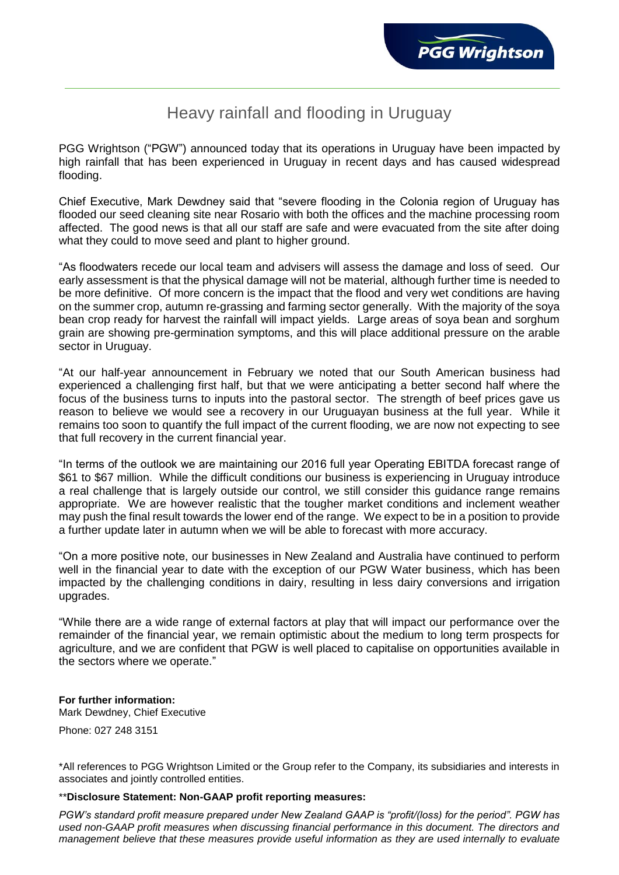## Heavy rainfall and flooding in Uruguay

PGG Wrightson ("PGW") announced today that its operations in Uruguay have been impacted by high rainfall that has been experienced in Uruguay in recent days and has caused widespread flooding.

Chief Executive, Mark Dewdney said that "severe flooding in the Colonia region of Uruguay has flooded our seed cleaning site near Rosario with both the offices and the machine processing room affected. The good news is that all our staff are safe and were evacuated from the site after doing what they could to move seed and plant to higher ground.

"As floodwaters recede our local team and advisers will assess the damage and loss of seed. Our early assessment is that the physical damage will not be material, although further time is needed to be more definitive. Of more concern is the impact that the flood and very wet conditions are having on the summer crop, autumn re-grassing and farming sector generally. With the majority of the soya bean crop ready for harvest the rainfall will impact yields. Large areas of soya bean and sorghum grain are showing pre-germination symptoms, and this will place additional pressure on the arable sector in Uruguay.

"At our half-year announcement in February we noted that our South American business had experienced a challenging first half, but that we were anticipating a better second half where the focus of the business turns to inputs into the pastoral sector. The strength of beef prices gave us reason to believe we would see a recovery in our Uruguayan business at the full year. While it remains too soon to quantify the full impact of the current flooding, we are now not expecting to see that full recovery in the current financial year.

"In terms of the outlook we are maintaining our 2016 full year Operating EBITDA forecast range of \$61 to \$67 million. While the difficult conditions our business is experiencing in Uruguay introduce a real challenge that is largely outside our control, we still consider this guidance range remains appropriate. We are however realistic that the tougher market conditions and inclement weather may push the final result towards the lower end of the range. We expect to be in a position to provide a further update later in autumn when we will be able to forecast with more accuracy.

"On a more positive note, our businesses in New Zealand and Australia have continued to perform well in the financial year to date with the exception of our PGW Water business, which has been impacted by the challenging conditions in dairy, resulting in less dairy conversions and irrigation upgrades.

"While there are a wide range of external factors at play that will impact our performance over the remainder of the financial year, we remain optimistic about the medium to long term prospects for agriculture, and we are confident that PGW is well placed to capitalise on opportunities available in the sectors where we operate."

## **For further information:**

Mark Dewdney, Chief Executive

Phone: 027 248 3151

\*All references to PGG Wrightson Limited or the Group refer to the Company, its subsidiaries and interests in associates and jointly controlled entities.

## \*\***Disclosure Statement: Non-GAAP profit reporting measures:**

*PGW's standard profit measure prepared under New Zealand GAAP is "profit/(loss) for the period". PGW has used non-GAAP profit measures when discussing financial performance in this document. The directors and management believe that these measures provide useful information as they are used internally to evaluate*